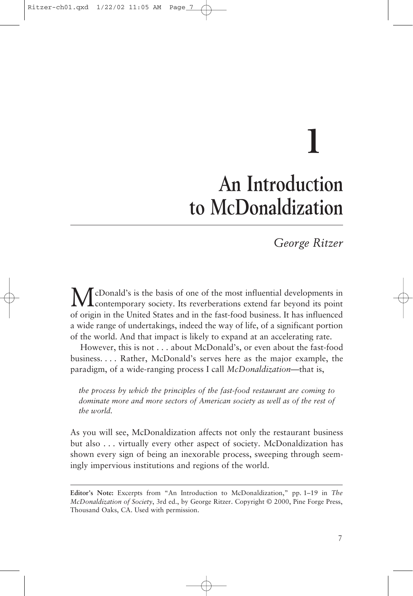# $\mathbf{l}$ An Introduction to McDonaldization

# George Ritzer

McDonald's is the basis of one of the most influential developments in<br>contemporary society. Its reverberations extend far beyond its point of origin in the United States and in the fast-food business. It has influenced a wide range of undertakings, indeed the way of life, of a significant portion of the world. And that impact is likely to expand at an accelerating rate.

However, this is not . . . about McDonald's, or even about the fast-food business. . . . Rather, McDonald's serves here as the major example, the paradigm, of a wide-ranging process I call *McDonaldization*—that is,

*the process by which the principles of the fast-food restaurant are coming to dominate more and more sectors of American society as well as of the rest of the world.*

As you will see, McDonaldization affects not only the restaurant business but also . . . virtually every other aspect of society. McDonaldization has shown every sign of being an inexorable process, sweeping through seemingly impervious institutions and regions of the world.

**Editor's Note:** Excerpts from "An Introduction to McDonaldization," pp. 1–19 in *The McDonaldization of Society*, 3rd ed., by George Ritzer. Copyright © 2000, Pine Forge Press, Thousand Oaks, CA. Used with permission.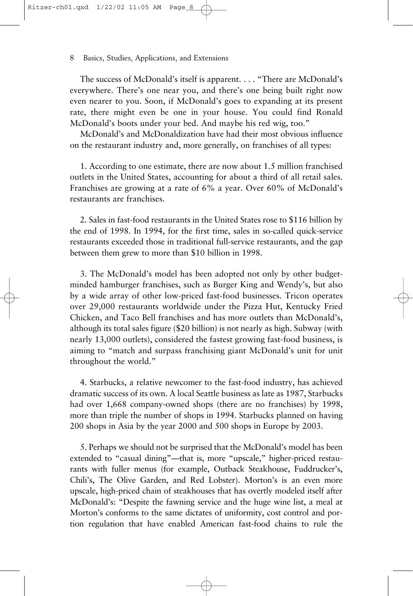The success of McDonald's itself is apparent. . . . "There are McDonald's everywhere. There's one near you, and there's one being built right now even nearer to you. Soon, if McDonald's goes to expanding at its present rate, there might even be one in your house. You could find Ronald McDonald's boots under your bed. And maybe his red wig, too."

McDonald's and McDonaldization have had their most obvious influence on the restaurant industry and, more generally, on franchises of all types:

1. According to one estimate, there are now about 1.5 million franchised outlets in the United States, accounting for about a third of all retail sales. Franchises are growing at a rate of 6% a year. Over 60% of McDonald's restaurants are franchises.

2. Sales in fast-food restaurants in the United States rose to \$116 billion by the end of 1998. In 1994, for the first time, sales in so-called quick-service restaurants exceeded those in traditional full-service restaurants, and the gap between them grew to more than \$10 billion in 1998.

3. The McDonald's model has been adopted not only by other budgetminded hamburger franchises, such as Burger King and Wendy's, but also by a wide array of other low-priced fast-food businesses. Tricon operates over 29,000 restaurants worldwide under the Pizza Hut, Kentucky Fried Chicken, and Taco Bell franchises and has more outlets than McDonald's, although its total sales figure (\$20 billion) is not nearly as high. Subway (with nearly 13,000 outlets), considered the fastest growing fast-food business, is aiming to "match and surpass franchising giant McDonald's unit for unit throughout the world."

4. Starbucks, a relative newcomer to the fast-food industry, has achieved dramatic success of its own. A local Seattle business as late as 1987, Starbucks had over 1,668 company-owned shops (there are no franchises) by 1998, more than triple the number of shops in 1994. Starbucks planned on having 200 shops in Asia by the year 2000 and 500 shops in Europe by 2003.

5. Perhaps we should not be surprised that the McDonald's model has been extended to "casual dining"—that is, more "upscale," higher-priced restaurants with fuller menus (for example, Outback Steakhouse, Fuddrucker's, Chili's, The Olive Garden, and Red Lobster). Morton's is an even more upscale, high-priced chain of steakhouses that has overtly modeled itself after McDonald's: "Despite the fawning service and the huge wine list, a meal at Morton's conforms to the same dictates of uniformity, cost control and portion regulation that have enabled American fast-food chains to rule the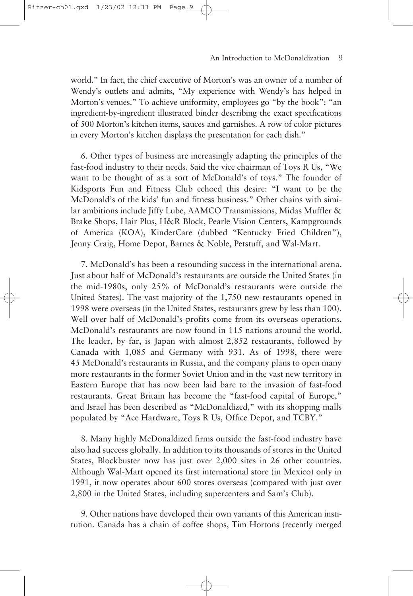#### An Introduction to McDonaldization  $\overline{Q}$

world." In fact, the chief executive of Morton's was an owner of a number of Wendy's outlets and admits, "My experience with Wendy's has helped in Morton's venues." To achieve uniformity, employees go "by the book": "an ingredient-by-ingredient illustrated binder describing the exact specifications of 500 Morton's kitchen items, sauces and garnishes. A row of color pictures in every Morton's kitchen displays the presentation for each dish."

6. Other types of business are increasingly adapting the principles of the fast-food industry to their needs. Said the vice chairman of Toys R Us, "We want to be thought of as a sort of McDonald's of toys." The founder of Kidsports Fun and Fitness Club echoed this desire: "I want to be the McDonald's of the kids' fun and fitness business." Other chains with similar ambitions include Jiffy Lube, AAMCO Transmissions, Midas Muffler & Brake Shops, Hair Plus, H&R Block, Pearle Vision Centers, Kampgrounds of America (KOA), KinderCare (dubbed "Kentucky Fried Children"), Jenny Craig, Home Depot, Barnes & Noble, Petstuff, and Wal-Mart.

7. McDonald's has been a resounding success in the international arena. Just about half of McDonald's restaurants are outside the United States (in the mid-1980s, only 25% of McDonald's restaurants were outside the United States). The vast majority of the 1,750 new restaurants opened in 1998 were overseas (in the United States, restaurants grew by less than 100). Well over half of McDonald's profits come from its overseas operations. McDonald's restaurants are now found in 115 nations around the world. The leader, by far, is Japan with almost 2,852 restaurants, followed by Canada with 1,085 and Germany with 931. As of 1998, there were 45 McDonald's restaurants in Russia, and the company plans to open many more restaurants in the former Soviet Union and in the vast new territory in Eastern Europe that has now been laid bare to the invasion of fast-food restaurants. Great Britain has become the "fast-food capital of Europe," and Israel has been described as "McDonaldized," with its shopping malls populated by "Ace Hardware, Toys R Us, Office Depot, and TCBY."

8. Many highly McDonaldized firms outside the fast-food industry have also had success globally. In addition to its thousands of stores in the United States, Blockbuster now has just over 2,000 sites in 26 other countries. Although Wal-Mart opened its first international store (in Mexico) only in 1991, it now operates about 600 stores overseas (compared with just over 2,800 in the United States, including supercenters and Sam's Club).

9. Other nations have developed their own variants of this American institution. Canada has a chain of coffee shops, Tim Hortons (recently merged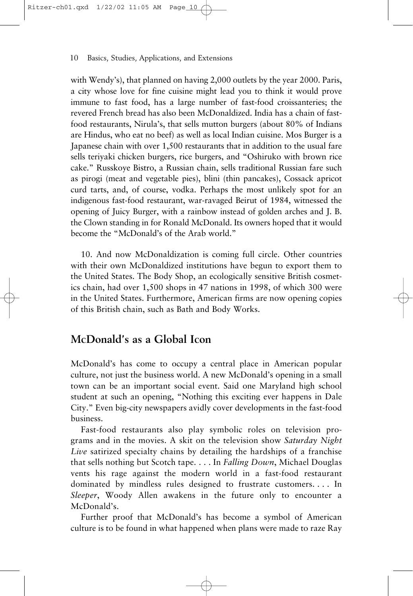with Wendy's), that planned on having 2,000 outlets by the year 2000. Paris, a city whose love for fine cuisine might lead you to think it would prove immune to fast food, has a large number of fast-food croissanteries; the revered French bread has also been McDonaldized. India has a chain of fastfood restaurants, Nirula's, that sells mutton burgers (about 80% of Indians are Hindus, who eat no beef) as well as local Indian cuisine. Mos Burger is a Japanese chain with over 1,500 restaurants that in addition to the usual fare sells teriyaki chicken burgers, rice burgers, and "Oshiruko with brown rice cake." Russkoye Bistro, a Russian chain, sells traditional Russian fare such as pirogi (meat and vegetable pies), blini (thin pancakes), Cossack apricot curd tarts, and, of course, vodka. Perhaps the most unlikely spot for an indigenous fast-food restaurant, war-ravaged Beirut of 1984, witnessed the opening of Juicy Burger, with a rainbow instead of golden arches and J. B. the Clown standing in for Ronald McDonald. Its owners hoped that it would become the "McDonald's of the Arab world."

10. And now McDonaldization is coming full circle. Other countries with their own McDonaldized institutions have begun to export them to the United States. The Body Shop, an ecologically sensitive British cosmetics chain, had over 1,500 shops in 47 nations in 1998, of which 300 were in the United States. Furthermore, American firms are now opening copies of this British chain, such as Bath and Body Works.

# McDonald's as a Global Icon

McDonald's has come to occupy a central place in American popular culture, not just the business world. A new McDonald's opening in a small town can be an important social event. Said one Maryland high school student at such an opening, "Nothing this exciting ever happens in Dale City." Even big-city newspapers avidly cover developments in the fast-food business.

Fast-food restaurants also play symbolic roles on television programs and in the movies. A skit on the television show *Saturday Night Live* satirized specialty chains by detailing the hardships of a franchise that sells nothing but Scotch tape. . . . In *Falling Down*, Michael Douglas vents his rage against the modern world in a fast-food restaurant dominated by mindless rules designed to frustrate customers. . . . In *Sleeper*, Woody Allen awakens in the future only to encounter a McDonald's.

Further proof that McDonald's has become a symbol of American culture is to be found in what happened when plans were made to raze Ray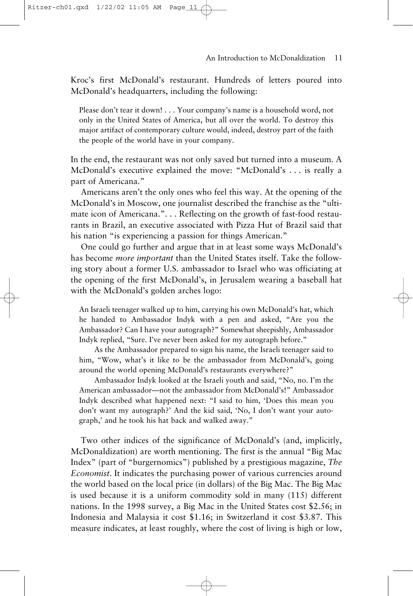Kroc's first McDonald's restaurant. Hundreds of letters poured into McDonald's headquarters, including the following:

Please don't tear it down! . . . Your company's name is a household word, not only in the United States of America, but all over the world. To destroy this major artifact of contemporary culture would, indeed, destroy part of the faith the people of the world have in your company.

In the end, the restaurant was not only saved but turned into a museum. A McDonald's executive explained the move: "McDonald's . . . is really a part of Americana."

Americans aren't the only ones who feel this way. At the opening of the McDonald's in Moscow, one journalist described the franchise as the "ultimate icon of Americana.". . . Reflecting on the growth of fast-food restaurants in Brazil, an executive associated with Pizza Hut of Brazil said that his nation "is experiencing a passion for things American."

One could go further and argue that in at least some ways McDonald's has become *more important* than the United States itself. Take the following story about a former U.S. ambassador to Israel who was officiating at the opening of the first McDonald's, in Jerusalem wearing a baseball hat with the McDonald's golden arches logo:

An Israeli teenager walked up to him, carrying his own McDonald's hat, which he handed to Ambassador Indyk with a pen and asked, "Are you the Ambassador? Can I have your autograph?" Somewhat sheepishly, Ambassador Indyk replied, "Sure. I've never been asked for my autograph before."

As the Ambassador prepared to sign his name, the Israeli teenager said to him, "Wow, what's it like to be the ambassador from McDonald's, going around the world opening McDonald's restaurants everywhere?"

Ambassador Indyk looked at the Israeli youth and said, "No, no. I'm the American ambassador—not the ambassador from McDonald's!" Ambassador Indyk described what happened next: "I said to him, 'Does this mean you don't want my autograph?' And the kid said, 'No, I don't want your autograph,' and he took his hat back and walked away."

Two other indices of the significance of McDonald's (and, implicitly, McDonaldization) are worth mentioning. The first is the annual "Big Mac Index" (part of "burgernomics") published by a prestigious magazine, *The Economist*. It indicates the purchasing power of various currencies around the world based on the local price (in dollars) of the Big Mac. The Big Mac is used because it is a uniform commodity sold in many (115) different nations. In the 1998 survey, a Big Mac in the United States cost \$2.56; in Indonesia and Malaysia it cost \$1.16; in Switzerland it cost \$3.87. This measure indicates, at least roughly, where the cost of living is high or low,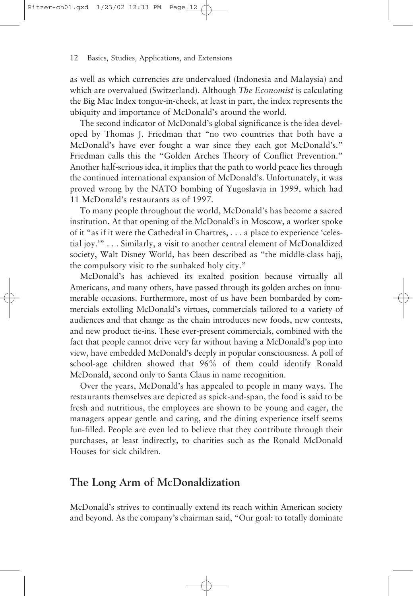as well as which currencies are undervalued (Indonesia and Malaysia) and which are overvalued (Switzerland). Although *The Economist* is calculating the Big Mac Index tongue-in-cheek, at least in part, the index represents the ubiquity and importance of McDonald's around the world.

The second indicator of McDonald's global significance is the idea developed by Thomas J. Friedman that "no two countries that both have a McDonald's have ever fought a war since they each got McDonald's." Friedman calls this the "Golden Arches Theory of Conflict Prevention." Another half-serious idea, it implies that the path to world peace lies through the continued international expansion of McDonald's. Unfortunately, it was proved wrong by the NATO bombing of Yugoslavia in 1999, which had 11 McDonald's restaurants as of 1997.

To many people throughout the world, McDonald's has become a sacred institution. At that opening of the McDonald's in Moscow, a worker spoke of it "as if it were the Cathedral in Chartres, . . . a place to experience 'celestial joy.'" . . . Similarly, a visit to another central element of McDonaldized society, Walt Disney World, has been described as "the middle-class hajj, the compulsory visit to the sunbaked holy city."

McDonald's has achieved its exalted position because virtually all Americans, and many others, have passed through its golden arches on innumerable occasions. Furthermore, most of us have been bombarded by commercials extolling McDonald's virtues, commercials tailored to a variety of audiences and that change as the chain introduces new foods, new contests, and new product tie-ins. These ever-present commercials, combined with the fact that people cannot drive very far without having a McDonald's pop into view, have embedded McDonald's deeply in popular consciousness. A poll of school-age children showed that 96% of them could identify Ronald McDonald, second only to Santa Claus in name recognition.

Over the years, McDonald's has appealed to people in many ways. The restaurants themselves are depicted as spick-and-span, the food is said to be fresh and nutritious, the employees are shown to be young and eager, the managers appear gentle and caring, and the dining experience itself seems fun-filled. People are even led to believe that they contribute through their purchases, at least indirectly, to charities such as the Ronald McDonald Houses for sick children.

# The Long Arm of McDonaldization

McDonald's strives to continually extend its reach within American society and beyond. As the company's chairman said, "Our goal: to totally dominate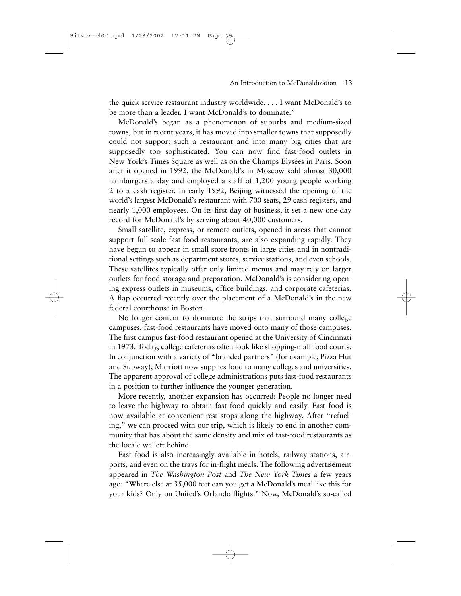### An Introduction to McDonaldization 13

the quick service restaurant industry worldwide. . . . I want McDonald's to be more than a leader. I want McDonald's to dominate."

McDonald's began as a phenomenon of suburbs and medium-sized towns, but in recent years, it has moved into smaller towns that supposedly could not support such a restaurant and into many big cities that are supposedly too sophisticated. You can now find fast-food outlets in New York's Times Square as well as on the Champs Elysées in Paris. Soon after it opened in 1992, the McDonald's in Moscow sold almost 30,000 hamburgers a day and employed a staff of 1,200 young people working 2 to a cash register. In early 1992, Beijing witnessed the opening of the world's largest McDonald's restaurant with 700 seats, 29 cash registers, and nearly 1,000 employees. On its first day of business, it set a new one-day record for McDonald's by serving about 40,000 customers.

Small satellite, express, or remote outlets, opened in areas that cannot support full-scale fast-food restaurants, are also expanding rapidly. They have begun to appear in small store fronts in large cities and in nontraditional settings such as department stores, service stations, and even schools. These satellites typically offer only limited menus and may rely on larger outlets for food storage and preparation. McDonald's is considering opening express outlets in museums, office buildings, and corporate cafeterias. A flap occurred recently over the placement of a McDonald's in the new federal courthouse in Boston.

No longer content to dominate the strips that surround many college campuses, fast-food restaurants have moved onto many of those campuses. The first campus fast-food restaurant opened at the University of Cincinnati in 1973. Today, college cafeterias often look like shopping-mall food courts. In conjunction with a variety of "branded partners" (for example, Pizza Hut and Subway), Marriott now supplies food to many colleges and universities. The apparent approval of college administrations puts fast-food restaurants in a position to further influence the younger generation.

More recently, another expansion has occurred: People no longer need to leave the highway to obtain fast food quickly and easily. Fast food is now available at convenient rest stops along the highway. After "refueling," we can proceed with our trip, which is likely to end in another community that has about the same density and mix of fast-food restaurants as the locale we left behind.

Fast food is also increasingly available in hotels, railway stations, airports, and even on the trays for in-flight meals. The following advertisement appeared in *The Washington Post* and *The New York Times* a few years ago: "Where else at 35,000 feet can you get a McDonald's meal like this for your kids? Only on United's Orlando flights." Now, McDonald's so-called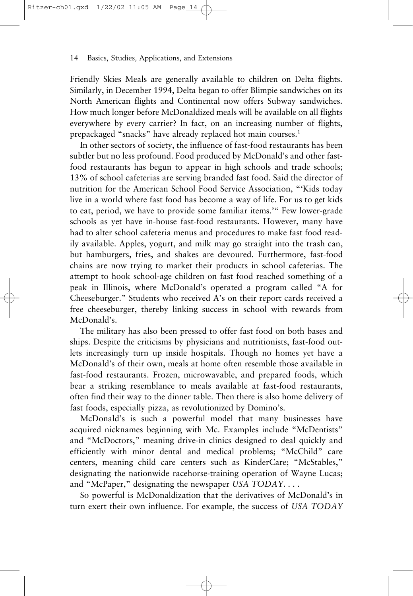Friendly Skies Meals are generally available to children on Delta flights. Similarly, in December 1994, Delta began to offer Blimpie sandwiches on its North American flights and Continental now offers Subway sandwiches. How much longer before McDonaldized meals will be available on all flights everywhere by every carrier? In fact, on an increasing number of flights, prepackaged "snacks" have already replaced hot main courses.<sup>1</sup>

In other sectors of society, the influence of fast-food restaurants has been subtler but no less profound. Food produced by McDonald's and other fastfood restaurants has begun to appear in high schools and trade schools; 13% of school cafeterias are serving branded fast food. Said the director of nutrition for the American School Food Service Association, "'Kids today live in a world where fast food has become a way of life. For us to get kids to eat, period, we have to provide some familiar items.'" Few lower-grade schools as yet have in-house fast-food restaurants. However, many have had to alter school cafeteria menus and procedures to make fast food readily available. Apples, yogurt, and milk may go straight into the trash can, but hamburgers, fries, and shakes are devoured. Furthermore, fast-food chains are now trying to market their products in school cafeterias. The attempt to hook school-age children on fast food reached something of a peak in Illinois, where McDonald's operated a program called "A for Cheeseburger." Students who received A's on their report cards received a free cheeseburger, thereby linking success in school with rewards from McDonald's.

The military has also been pressed to offer fast food on both bases and ships. Despite the criticisms by physicians and nutritionists, fast-food outlets increasingly turn up inside hospitals. Though no homes yet have a McDonald's of their own, meals at home often resemble those available in fast-food restaurants. Frozen, microwavable, and prepared foods, which bear a striking resemblance to meals available at fast-food restaurants, often find their way to the dinner table. Then there is also home delivery of fast foods, especially pizza, as revolutionized by Domino's.

McDonald's is such a powerful model that many businesses have acquired nicknames beginning with Mc. Examples include "McDentists" and "McDoctors," meaning drive-in clinics designed to deal quickly and efficiently with minor dental and medical problems; "McChild" care centers, meaning child care centers such as KinderCare; "McStables," designating the nationwide racehorse-training operation of Wayne Lucas; and "McPaper," designating the newspaper *USA TODAY*....

So powerful is McDonaldization that the derivatives of McDonald's in turn exert their own influence. For example, the success of *USA TODAY*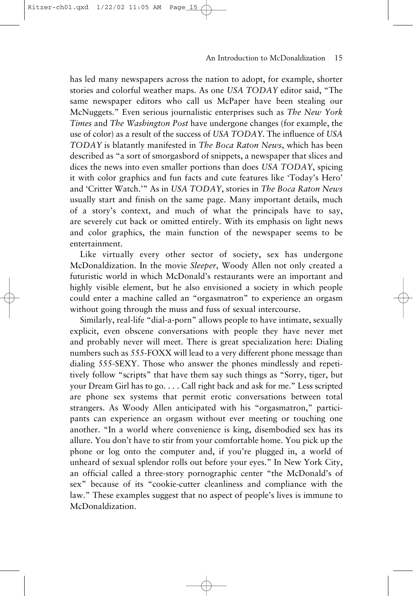#### An Introduction to McDonaldization !

has led many newspapers across the nation to adopt, for example, shorter stories and colorful weather maps. As one *USA TODAY* editor said, "The same newspaper editors who call us McPaper have been stealing our McNuggets." Even serious journalistic enterprises such as *The New York Times* and *The Washington Post* have undergone changes (for example, the use of color) as a result of the success of *USA TODAY*. The influence of *USA TODAY* is blatantly manifested in *The Boca Raton News*, which has been described as "a sort of smorgasbord of snippets, a newspaper that slices and dices the news into even smaller portions than does *USA TODAY*, spicing it with color graphics and fun facts and cute features like 'Today's Hero' and 'Critter Watch.'" As in *USA TODAY*, stories in *The Boca Raton News* usually start and finish on the same page. Many important details, much of a story's context, and much of what the principals have to say, are severely cut back or omitted entirely. With its emphasis on light news and color graphics, the main function of the newspaper seems to be entertainment.

Ritzer-ch01.qxd 1/22/02 11:05 AM

Like virtually every other sector of society, sex has undergone McDonaldization. In the movie *Sleeper*, Woody Allen not only created a futuristic world in which McDonald's restaurants were an important and highly visible element, but he also envisioned a society in which people could enter a machine called an "orgasmatron" to experience an orgasm without going through the muss and fuss of sexual intercourse.

Similarly, real-life "dial-a-porn" allows people to have intimate, sexually explicit, even obscene conversations with people they have never met and probably never will meet. There is great specialization here: Dialing numbers such as 555-FOXX will lead to a very different phone message than dialing 555-SEXY. Those who answer the phones mindlessly and repetitively follow "scripts" that have them say such things as "Sorry, tiger, but your Dream Girl has to go. . . . Call right back and ask for me." Less scripted are phone sex systems that permit erotic conversations between total strangers. As Woody Allen anticipated with his "orgasmatron," participants can experience an orgasm without ever meeting or touching one another. "In a world where convenience is king, disembodied sex has its allure. You don't have to stir from your comfortable home. You pick up the phone or log onto the computer and, if you're plugged in, a world of unheard of sexual splendor rolls out before your eyes." In New York City, an official called a three-story pornographic center "the McDonald's of sex" because of its "cookie-cutter cleanliness and compliance with the law." These examples suggest that no aspect of people's lives is immune to McDonaldization.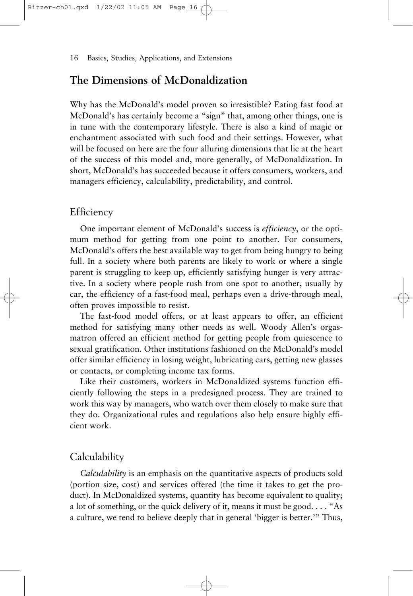# The Dimensions of McDonaldization

Why has the McDonald's model proven so irresistible? Eating fast food at McDonald's has certainly become a "sign" that, among other things, one is in tune with the contemporary lifestyle. There is also a kind of magic or enchantment associated with such food and their settings. However, what will be focused on here are the four alluring dimensions that lie at the heart of the success of this model and, more generally, of McDonaldization. In short, McDonald's has succeeded because it offers consumers, workers, and managers efficiency, calculability, predictability, and control.

### Efficiency

One important element of McDonald's success is *efficiency*, or the optimum method for getting from one point to another. For consumers, McDonald's offers the best available way to get from being hungry to being full. In a society where both parents are likely to work or where a single parent is struggling to keep up, efficiently satisfying hunger is very attractive. In a society where people rush from one spot to another, usually by car, the efficiency of a fast-food meal, perhaps even a drive-through meal, often proves impossible to resist.

The fast-food model offers, or at least appears to offer, an efficient method for satisfying many other needs as well. Woody Allen's orgasmatron offered an efficient method for getting people from quiescence to sexual gratification. Other institutions fashioned on the McDonald's model offer similar efficiency in losing weight, lubricating cars, getting new glasses or contacts, or completing income tax forms.

Like their customers, workers in McDonaldized systems function efficiently following the steps in a predesigned process. They are trained to work this way by managers, who watch over them closely to make sure that they do. Organizational rules and regulations also help ensure highly efficient work.

### Calculability

*Calculability* is an emphasis on the quantitative aspects of products sold (portion size, cost) and services offered (the time it takes to get the product). In McDonaldized systems, quantity has become equivalent to quality; a lot of something, or the quick delivery of it, means it must be good. . . . "As a culture, we tend to believe deeply that in general 'bigger is better.'" Thus,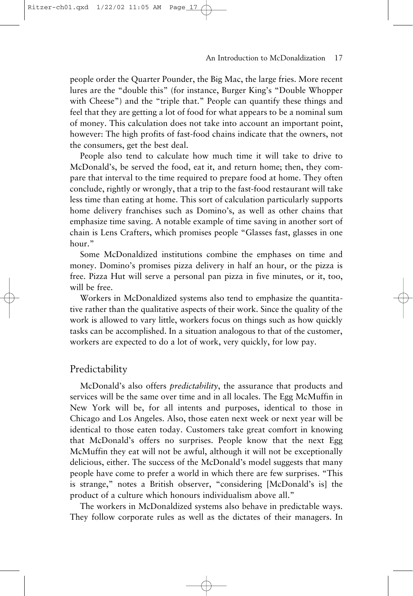#### An Introduction to McDonaldization -

people order the Quarter Pounder, the Big Mac, the large fries. More recent lures are the "double this" (for instance, Burger King's "Double Whopper with Cheese") and the "triple that." People can quantify these things and feel that they are getting a lot of food for what appears to be a nominal sum of money. This calculation does not take into account an important point, however: The high profits of fast-food chains indicate that the owners, not the consumers, get the best deal.

People also tend to calculate how much time it will take to drive to McDonald's, be served the food, eat it, and return home; then, they compare that interval to the time required to prepare food at home. They often conclude, rightly or wrongly, that a trip to the fast-food restaurant will take less time than eating at home. This sort of calculation particularly supports home delivery franchises such as Domino's, as well as other chains that emphasize time saving. A notable example of time saving in another sort of chain is Lens Crafters, which promises people "Glasses fast, glasses in one hour."

Some McDonaldized institutions combine the emphases on time and money. Domino's promises pizza delivery in half an hour, or the pizza is free. Pizza Hut will serve a personal pan pizza in five minutes, or it, too, will be free.

Workers in McDonaldized systems also tend to emphasize the quantitative rather than the qualitative aspects of their work. Since the quality of the work is allowed to vary little, workers focus on things such as how quickly tasks can be accomplished. In a situation analogous to that of the customer, workers are expected to do a lot of work, very quickly, for low pay.

### Predictability

McDonald's also offers *predictability*, the assurance that products and services will be the same over time and in all locales. The Egg McMuffin in New York will be, for all intents and purposes, identical to those in Chicago and Los Angeles. Also, those eaten next week or next year will be identical to those eaten today. Customers take great comfort in knowing that McDonald's offers no surprises. People know that the next Egg McMuffin they eat will not be awful, although it will not be exceptionally delicious, either. The success of the McDonald's model suggests that many people have come to prefer a world in which there are few surprises. "This is strange," notes a British observer, "considering [McDonald's is] the product of a culture which honours individualism above all."

The workers in McDonaldized systems also behave in predictable ways. They follow corporate rules as well as the dictates of their managers. In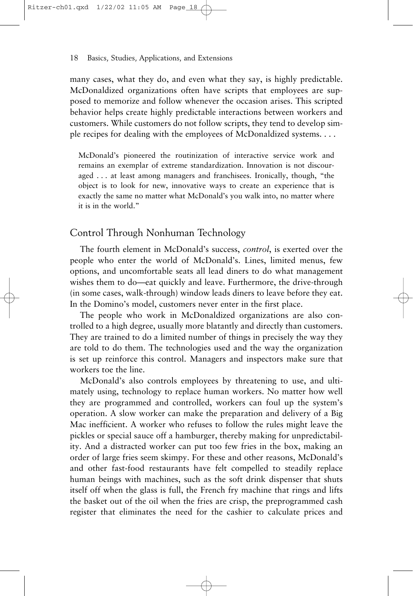many cases, what they do, and even what they say, is highly predictable. McDonaldized organizations often have scripts that employees are supposed to memorize and follow whenever the occasion arises. This scripted behavior helps create highly predictable interactions between workers and customers. While customers do not follow scripts, they tend to develop simple recipes for dealing with the employees of McDonaldized systems. . . .

McDonald's pioneered the routinization of interactive service work and remains an exemplar of extreme standardization. Innovation is not discouraged . . . at least among managers and franchisees. Ironically, though, "the object is to look for new, innovative ways to create an experience that is exactly the same no matter what McDonald's you walk into, no matter where it is in the world."

### Control Through Nonhuman Technology

The fourth element in McDonald's success, *control*, is exerted over the people who enter the world of McDonald's. Lines, limited menus, few options, and uncomfortable seats all lead diners to do what management wishes them to do—eat quickly and leave. Furthermore, the drive-through (in some cases, walk-through) window leads diners to leave before they eat. In the Domino's model, customers never enter in the first place.

The people who work in McDonaldized organizations are also controlled to a high degree, usually more blatantly and directly than customers. They are trained to do a limited number of things in precisely the way they are told to do them. The technologies used and the way the organization is set up reinforce this control. Managers and inspectors make sure that workers toe the line.

McDonald's also controls employees by threatening to use, and ultimately using, technology to replace human workers. No matter how well they are programmed and controlled, workers can foul up the system's operation. A slow worker can make the preparation and delivery of a Big Mac inefficient. A worker who refuses to follow the rules might leave the pickles or special sauce off a hamburger, thereby making for unpredictability. And a distracted worker can put too few fries in the box, making an order of large fries seem skimpy. For these and other reasons, McDonald's and other fast-food restaurants have felt compelled to steadily replace human beings with machines, such as the soft drink dispenser that shuts itself off when the glass is full, the French fry machine that rings and lifts the basket out of the oil when the fries are crisp, the preprogrammed cash register that eliminates the need for the cashier to calculate prices and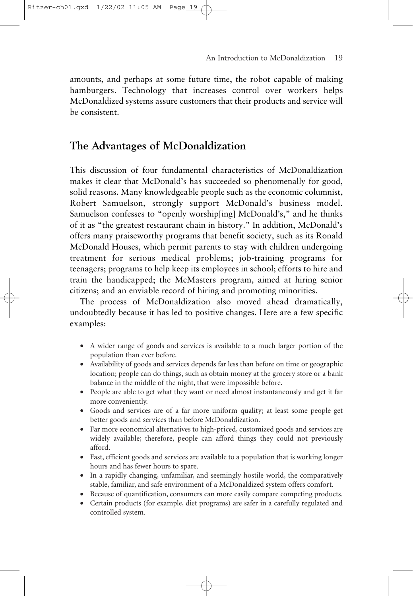amounts, and perhaps at some future time, the robot capable of making hamburgers. Technology that increases control over workers helps McDonaldized systems assure customers that their products and service will be consistent.

# The Advantages of McDonaldization

This discussion of four fundamental characteristics of McDonaldization makes it clear that McDonald's has succeeded so phenomenally for good, solid reasons. Many knowledgeable people such as the economic columnist, Robert Samuelson, strongly support McDonald's business model. Samuelson confesses to "openly worship[ing] McDonald's," and he thinks of it as "the greatest restaurant chain in history." In addition, McDonald's offers many praiseworthy programs that benefit society, such as its Ronald McDonald Houses, which permit parents to stay with children undergoing treatment for serious medical problems; job-training programs for teenagers; programs to help keep its employees in school; efforts to hire and train the handicapped; the McMasters program, aimed at hiring senior citizens; and an enviable record of hiring and promoting minorities.

The process of McDonaldization also moved ahead dramatically, undoubtedly because it has led to positive changes. Here are a few specific examples:

- A wider range of goods and services is available to a much larger portion of the population than ever before.
- Availability of goods and services depends far less than before on time or geographic location; people can do things, such as obtain money at the grocery store or a bank balance in the middle of the night, that were impossible before.
- People are able to get what they want or need almost instantaneously and get it far more conveniently.
- Goods and services are of a far more uniform quality; at least some people get better goods and services than before McDonaldization.
- Far more economical alternatives to high-priced, customized goods and services are widely available; therefore, people can afford things they could not previously afford.
- Fast, efficient goods and services are available to a population that is working longer hours and has fewer hours to spare.
- In a rapidly changing, unfamiliar, and seemingly hostile world, the comparatively stable, familiar, and safe environment of a McDonaldized system offers comfort.
- Because of quantification, consumers can more easily compare competing products.
- Certain products (for example, diet programs) are safer in a carefully regulated and controlled system.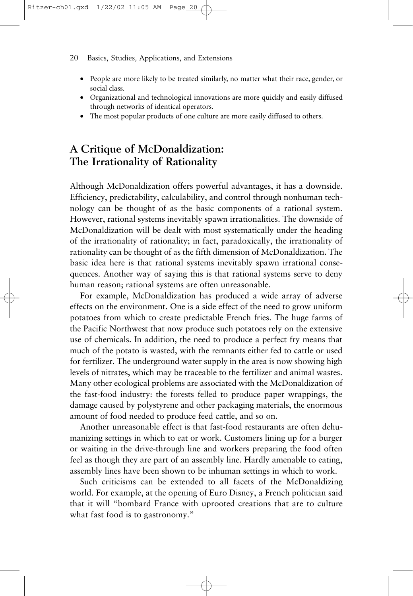- 20 Basics, Studies, Applications, and Extensions
	- People are more likely to be treated similarly, no matter what their race, gender, or social class.
	- Organizational and technological innovations are more quickly and easily diffused through networks of identical operators.
	- The most popular products of one culture are more easily diffused to others.

# **A Critique of McDonaldization:** The Irrationality of Rationality

Although McDonaldization offers powerful advantages, it has a downside. Efficiency, predictability, calculability, and control through nonhuman technology can be thought of as the basic components of a rational system. However, rational systems inevitably spawn irrationalities. The downside of McDonaldization will be dealt with most systematically under the heading of the irrationality of rationality; in fact, paradoxically, the irrationality of rationality can be thought of as the fifth dimension of McDonaldization. The basic idea here is that rational systems inevitably spawn irrational consequences. Another way of saying this is that rational systems serve to deny human reason; rational systems are often unreasonable.

For example, McDonaldization has produced a wide array of adverse effects on the environment. One is a side effect of the need to grow uniform potatoes from which to create predictable French fries. The huge farms of the Pacific Northwest that now produce such potatoes rely on the extensive use of chemicals. In addition, the need to produce a perfect fry means that much of the potato is wasted, with the remnants either fed to cattle or used for fertilizer. The underground water supply in the area is now showing high levels of nitrates, which may be traceable to the fertilizer and animal wastes. Many other ecological problems are associated with the McDonaldization of the fast-food industry: the forests felled to produce paper wrappings, the damage caused by polystyrene and other packaging materials, the enormous amount of food needed to produce feed cattle, and so on.

Another unreasonable effect is that fast-food restaurants are often dehumanizing settings in which to eat or work. Customers lining up for a burger or waiting in the drive-through line and workers preparing the food often feel as though they are part of an assembly line. Hardly amenable to eating, assembly lines have been shown to be inhuman settings in which to work.

Such criticisms can be extended to all facets of the McDonaldizing world. For example, at the opening of Euro Disney, a French politician said that it will "bombard France with uprooted creations that are to culture what fast food is to gastronomy."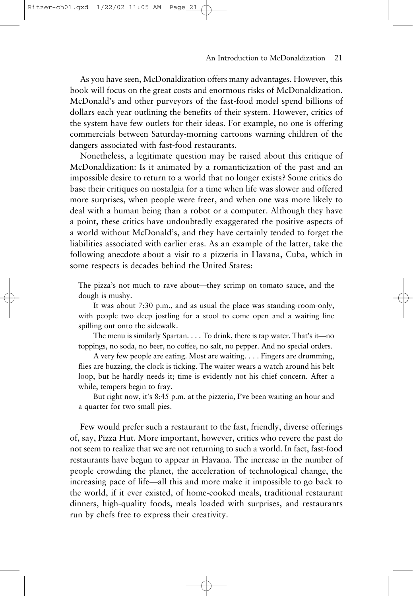#### An Introduction to McDonaldization 21

As you have seen, McDonaldization offers many advantages. However, this book will focus on the great costs and enormous risks of McDonaldization. McDonald's and other purveyors of the fast-food model spend billions of dollars each year outlining the benefits of their system. However, critics of the system have few outlets for their ideas. For example, no one is offering commercials between Saturday-morning cartoons warning children of the dangers associated with fast-food restaurants.

Nonetheless, a legitimate question may be raised about this critique of McDonaldization: Is it animated by a romanticization of the past and an impossible desire to return to a world that no longer exists? Some critics do base their critiques on nostalgia for a time when life was slower and offered more surprises, when people were freer, and when one was more likely to deal with a human being than a robot or a computer. Although they have a point, these critics have undoubtedly exaggerated the positive aspects of a world without McDonald's, and they have certainly tended to forget the liabilities associated with earlier eras. As an example of the latter, take the following anecdote about a visit to a pizzeria in Havana, Cuba, which in some respects is decades behind the United States:

The pizza's not much to rave about—they scrimp on tomato sauce, and the dough is mushy.

It was about 7:30 p.m., and as usual the place was standing-room-only, with people two deep jostling for a stool to come open and a waiting line spilling out onto the sidewalk.

The menu is similarly Spartan. . . . To drink, there is tap water. That's it—no toppings, no soda, no beer, no coffee, no salt, no pepper. And no special orders.

A very few people are eating. Most are waiting. . . . Fingers are drumming, flies are buzzing, the clock is ticking. The waiter wears a watch around his belt loop, but he hardly needs it; time is evidently not his chief concern. After a while, tempers begin to fray.

But right now, it's 8:45 p.m. at the pizzeria, I've been waiting an hour and a quarter for two small pies.

Few would prefer such a restaurant to the fast, friendly, diverse offerings of, say, Pizza Hut. More important, however, critics who revere the past do not seem to realize that we are not returning to such a world. In fact, fast-food restaurants have begun to appear in Havana. The increase in the number of people crowding the planet, the acceleration of technological change, the increasing pace of life—all this and more make it impossible to go back to the world, if it ever existed, of home-cooked meals, traditional restaurant dinners, high-quality foods, meals loaded with surprises, and restaurants run by chefs free to express their creativity.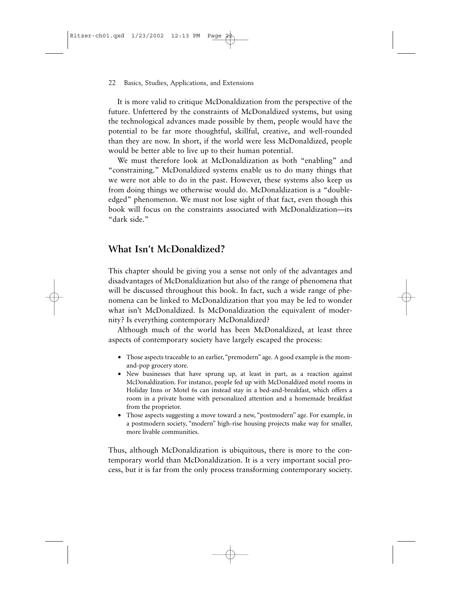It is more valid to critique McDonaldization from the perspective of the future. Unfettered by the constraints of McDonaldized systems, but using the technological advances made possible by them, people would have the potential to be far more thoughtful, skillful, creative, and well-rounded than they are now. In short, if the world were less McDonaldized, people would be better able to live up to their human potential.

We must therefore look at McDonaldization as both "enabling" and "constraining." McDonaldized systems enable us to do many things that we were not able to do in the past. However, these systems also keep us from doing things we otherwise would do. McDonaldization is a "doubleedged" phenomenon. We must not lose sight of that fact, even though this book will focus on the constraints associated with McDonaldization—its "dark side."

### **What Isn't McDonaldized?**

This chapter should be giving you a sense not only of the advantages and disadvantages of McDonaldization but also of the range of phenomena that will be discussed throughout this book. In fact, such a wide range of phenomena can be linked to McDonaldization that you may be led to wonder what isn't McDonaldized. Is McDonaldization the equivalent of modernity? Is everything contemporary McDonaldized?

Although much of the world has been McDonaldized, at least three aspects of contemporary society have largely escaped the process:

- Those aspects traceable to an earlier, "premodern" age. A good example is the momand-pop grocery store.
- New businesses that have sprung up, at least in part, as a reaction against McDonaldization. For instance, people fed up with McDonaldized motel rooms in Holiday Inns or Motel 6s can instead stay in a bed-and-breakfast, which offers a room in a private home with personalized attention and a homemade breakfast from the proprietor.
- Those aspects suggesting a move toward a new, "postmodern" age. For example, in a postmodern society, "modern" high-rise housing projects make way for smaller, more livable communities.

Thus, although McDonaldization is ubiquitous, there is more to the contemporary world than McDonaldization. It is a very important social process, but it is far from the only process transforming contemporary society.